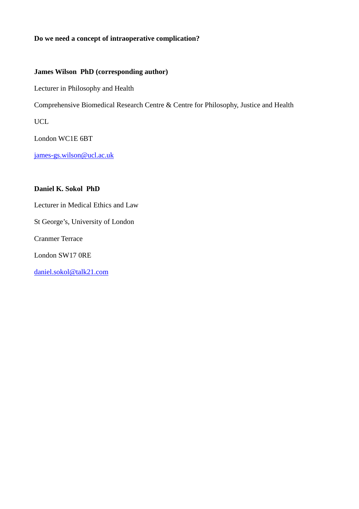## **Do we need a concept of intraoperative complication?**

## **James Wilson PhD (corresponding author)**

Lecturer in Philosophy and Health

Comprehensive Biomedical Research Centre & Centre for Philosophy, Justice and Health

UCL

London WC1E 6BT

james-gs.wilson@ucl.ac.uk

## **Daniel K. Sokol PhD**

Lecturer in Medical Ethics and Law

St George's, University of London

Cranmer Terrace

London SW17 0RE

daniel.sokol@talk21.com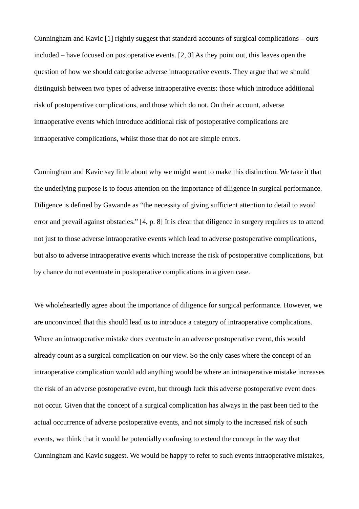Cunningham and Kavic [1] rightly suggest that standard accounts of surgical complications – ours included – have focused on postoperative events. [2, 3] As they point out, this leaves open the question of how we should categorise adverse intraoperative events. They argue that we should distinguish between two types of adverse intraoperative events: those which introduce additional risk of postoperative complications, and those which do not. On their account, adverse intraoperative events which introduce additional risk of postoperative complications are intraoperative complications, whilst those that do not are simple errors.

Cunningham and Kavic say little about why we might want to make this distinction. We take it that the underlying purpose is to focus attention on the importance of diligence in surgical performance. Diligence is defined by Gawande as "the necessity of giving sufficient attention to detail to avoid error and prevail against obstacles." [4, p. 8] It is clear that diligence in surgery requires us to attend not just to those adverse intraoperative events which lead to adverse postoperative complications, but also to adverse intraoperative events which increase the risk of postoperative complications, but by chance do not eventuate in postoperative complications in a given case.

We wholeheartedly agree about the importance of diligence for surgical performance. However, we are unconvinced that this should lead us to introduce a category of intraoperative complications. Where an intraoperative mistake does eventuate in an adverse postoperative event, this would already count as a surgical complication on our view. So the only cases where the concept of an intraoperative complication would add anything would be where an intraoperative mistake increases the risk of an adverse postoperative event, but through luck this adverse postoperative event does not occur. Given that the concept of a surgical complication has always in the past been tied to the actual occurrence of adverse postoperative events, and not simply to the increased risk of such events, we think that it would be potentially confusing to extend the concept in the way that Cunningham and Kavic suggest. We would be happy to refer to such events intraoperative mistakes,